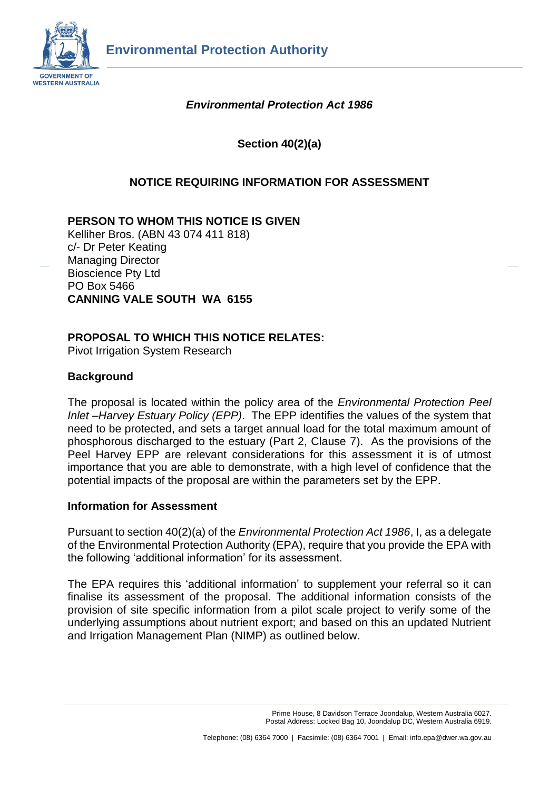

# *Environmental Protection Act 1986*

**Section 40(2)(a)**

## **NOTICE REQUIRING INFORMATION FOR ASSESSMENT**

### **PERSON TO WHOM THIS NOTICE IS GIVEN**

Kelliher Bros. (ABN 43 074 411 818) c/- Dr Peter Keating Managing Director Bioscience Pty Ltd PO Box 5466 **CANNING VALE SOUTH WA 6155**

#### **PROPOSAL TO WHICH THIS NOTICE RELATES:**

Pivot Irrigation System Research

### **Background**

The proposal is located within the policy area of the *Environmental Protection Peel Inlet –Harvey Estuary Policy (EPP)*. The EPP identifies the values of the system that need to be protected, and sets a target annual load for the total maximum amount of phosphorous discharged to the estuary (Part 2, Clause 7). As the provisions of the Peel Harvey EPP are relevant considerations for this assessment it is of utmost importance that you are able to demonstrate, with a high level of confidence that the potential impacts of the proposal are within the parameters set by the EPP.

#### **Information for Assessment**

Pursuant to section 40(2)(a) of the *Environmental Protection Act 1986*, I, as a delegate of the Environmental Protection Authority (EPA), require that you provide the EPA with the following 'additional information' for its assessment.

The EPA requires this 'additional information' to supplement your referral so it can finalise its assessment of the proposal. The additional information consists of the provision of site specific information from a pilot scale project to verify some of the underlying assumptions about nutrient export; and based on this an updated Nutrient and Irrigation Management Plan (NIMP) as outlined below.

> Prime House, 8 Davidson Terrace Joondalup, Western Australia 6027. Postal Address: Locked Bag 10, Joondalup DC, Western Australia 6919.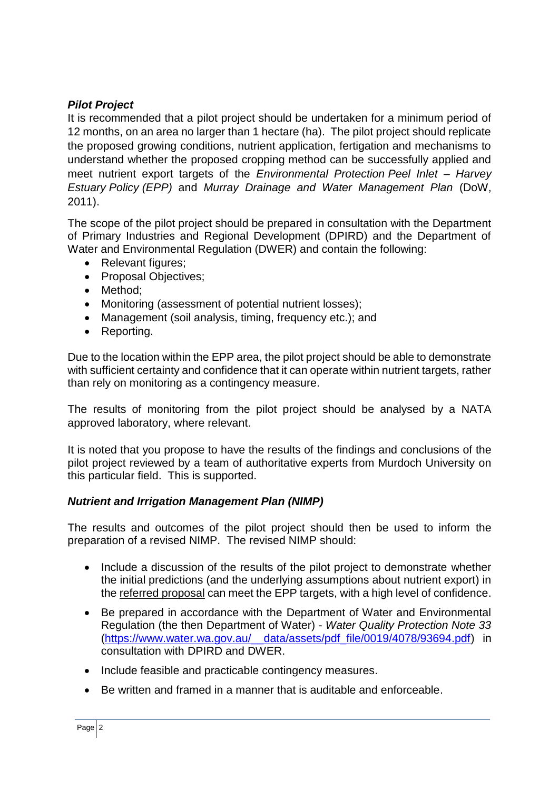# *Pilot Project*

It is recommended that a pilot project should be undertaken for a minimum period of 12 months, on an area no larger than 1 hectare (ha). The pilot project should replicate the proposed growing conditions, nutrient application, fertigation and mechanisms to understand whether the proposed cropping method can be successfully applied and meet nutrient export targets of the *Environmental Protection Peel Inlet – Harvey Estuary Policy (EPP)* and *Murray Drainage and Water Management Plan* (DoW, 2011).

The scope of the pilot project should be prepared in consultation with the Department of Primary Industries and Regional Development (DPIRD) and the Department of Water and Environmental Regulation (DWER) and contain the following:

- Relevant figures;
- Proposal Objectives:
- Method:
- Monitoring (assessment of potential nutrient losses);
- Management (soil analysis, timing, frequency etc.); and
- Reporting.

Due to the location within the EPP area, the pilot project should be able to demonstrate with sufficient certainty and confidence that it can operate within nutrient targets, rather than rely on monitoring as a contingency measure.

The results of monitoring from the pilot project should be analysed by a NATA approved laboratory, where relevant.

It is noted that you propose to have the results of the findings and conclusions of the pilot project reviewed by a team of authoritative experts from Murdoch University on this particular field. This is supported.

## *Nutrient and Irrigation Management Plan (NIMP)*

The results and outcomes of the pilot project should then be used to inform the preparation of a revised NIMP. The revised NIMP should:

- Include a discussion of the results of the pilot project to demonstrate whether the initial predictions (and the underlying assumptions about nutrient export) in the referred proposal can meet the EPP targets, with a high level of confidence.
- Be prepared in accordance with the Department of Water and Environmental Regulation (the then Department of Water) - *Water Quality Protection Note 33* [\(https://www.water.wa.gov.au/\\_\\_data/assets/pdf\\_file/0019/4078/93694.pdf\)](https://www.water.wa.gov.au/__data/assets/pdf_file/0019/4078/93694.pdf) in consultation with DPIRD and DWER.
- Include feasible and practicable contingency measures.
- Be written and framed in a manner that is auditable and enforceable.